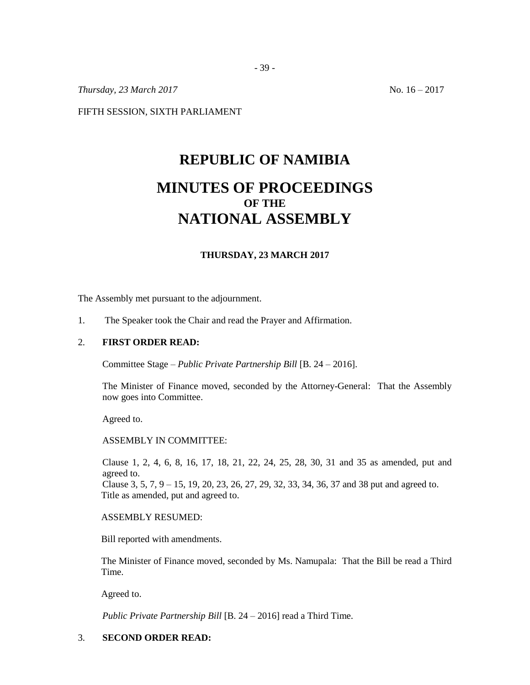*Thursday, 23 March 2017* No. 16 – 2017

FIFTH SESSION, SIXTH PARLIAMENT

# **REPUBLIC OF NAMIBIA MINUTES OF PROCEEDINGS OF THE NATIONAL ASSEMBLY**

## **THURSDAY, 23 MARCH 2017**

The Assembly met pursuant to the adjournment.

1. The Speaker took the Chair and read the Prayer and Affirmation.

## 2. **FIRST ORDER READ:**

Committee Stage – *Public Private Partnership Bill* [B. 24 – 2016].

The Minister of Finance moved, seconded by the Attorney-General: That the Assembly now goes into Committee.

Agreed to.

ASSEMBLY IN COMMITTEE:

Clause 1, 2, 4, 6, 8, 16, 17, 18, 21, 22, 24, 25, 28, 30, 31 and 35 as amended, put and agreed to. Clause 3, 5, 7, 9 – 15, 19, 20, 23, 26, 27, 29, 32, 33, 34, 36, 37 and 38 put and agreed to. Title as amended, put and agreed to.

ASSEMBLY RESUMED:

Bill reported with amendments.

The Minister of Finance moved, seconded by Ms. Namupala: That the Bill be read a Third Time.

Agreed to.

*Public Private Partnership Bill* [B. 24 – 2016] read a Third Time.

### 3. **SECOND ORDER READ:**